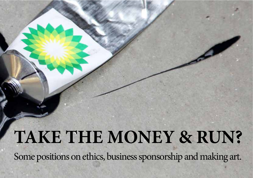# **TAKE THE MONEY & RUN?**

Some positions on ethics, business sponsorship and making art.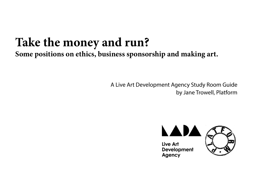# **Take the money and run?**

**Some positions on ethics, business sponsorship and making art.**

A Live Art Development Agency Study Room Guide by Jane Trowell, Platform

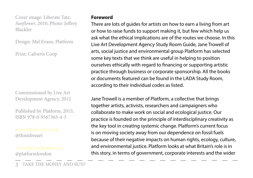Cover image: Liberate Tate, Sunflower, 2010, Photo: Jeffrey Blackler

Design: Mel Evans, Platform

Print: Calverts Coop

Commissioned by Live Art Development Agency, 2012

Published by Platform, 2013, ISBN 978-0-9567365-4-3

@thisisliveart

@platformlondon

#### **Foreword**

There are lots of guides for artists on how to earn a living from art or how to raise funds to support making it, but few which help us ask what the ethical implications are of the routes we choose. In this Live Art Development Agency Study Room Guide, Jane Trowell of arts, social justice and environmental group Platform has selected some key texts that we think are useful in helping to position ourselves ethically with regard to financing or supporting artistic practice through business or corporate sponsorship. All the books or documents featured can be found in the LADA Study Room, according to their individual codes as listed.

Jane Trowell is a member of Platform, a collective that brings together artists, activists, researchers and campaigners who collaborate to make work on social and ecological justice. Our practice is founded on the principle of interdisciplinary creativity as the key tool in creating systemic change. Platform's current focus is on moving society away from our dependence on fossil fuels because of their negative impacts on human rights, ecology, culture, and environmental justice. Platform looks at what Britain's role is in this story, in terms of government, corporate interests and the wider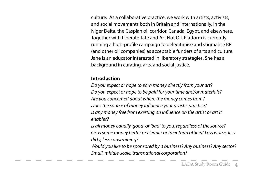culture. As a collaborative practice, we work with artists, activists, and social movements both in Britain and internationally, in the Niger Delta, the Caspian oil corridor, Canada, Egypt, and elsewhere. Together with Liberate Tate and Art Not Oil, Platform is currently running a high-profile campaign to delegitimise and stigmatise BP (and other oil companies) as acceptable funders of arts and culture. Jane is an educator interested in liberatory strategies. She has a background in curating, arts, and social justice.

#### **Introduction**

Do you expect or hope to earn money directly from your art? Do you expect or hope to be paid for your time and/or materials? Are you concerned about where the money comes from? Does the source of money influence your artistic practice? Is any money free from exerting an influence on the artist or art it enables?

Is all money equally 'good' or 'bad' to you, regardless of the source? Or, is some money better or cleaner or freer than others? Less worse, less dirty, less constraining?

Would you like to be sponsored by a business? Any business? Any sector? Small, middle-scale, transnational corporation?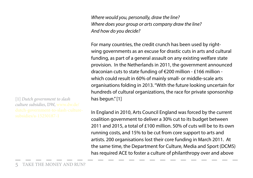Where would you, personally, draw the line? Where does your group or arts company draw the line? And how do you decide?

For many countries, the credit crunch has been used by rightwing governments as an excuse for drastic cuts in arts and cultural funding, as part of a general assault on any existing welfare state provision. In the Netherlands in 2011, the government announced draconian cuts to state funding of €200 million - £166 million which could result in 60% of mainly small- or middle-scale arts organisations folding in 2013. "With the future looking uncertain for hundreds of cultural organizations, the race for private sponsorship has begun." [1]

In England in 2010, Arts Council England was forced by the current coalition government to deliver a 30% cut to its budget between 2011 and 2015, a total of £100 million. 50% of cuts will be to its own running costs, and 15% to be cut from core support to arts and artists. 200 organisations lost their core funding in March 2011. At the same time, the Department for Culture, Media and Sport (DCMS) has required ACE to foster a culture of philanthropy over and above

[1] Dutch government to slash culture subsidies, DW, [www.dw.de/](http://www.dw.de/dutch-government-to-slash-culture-subsidies/a-15250187-1)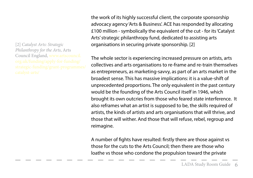[2] Catalyst Arts: Strategic Philanthropy for the Arts, Arts Council England, [www.artscouncil.](http://www.artscouncil.org.uk/funding/apply-for-funding/strategic-funding/grant-programmes/catalyst-arts/) the work of its highly successful client, the corporate sponsorship advocacy agency 'Arts & Business'. ACE has responded by allocating £100 million - symbolically the equivalent of the cut - for its 'Catalyst Arts' strategic philanthropy fund, dedicated to assisting arts organisations in securing private sponsorship. [2]

The whole sector is experiencing increased pressure on artists, arts collectives and arts organisations to re-frame and re-train themselves as entrepreneurs, as marketing-savvy, as part of an arts market in the broadest sense. This has massive implications: it is a value-shift of unprecedented proportions. The only equivalent in the past century would be the founding of the Arts Council itself in 1946, which brought its own outcries from those who feared state interference. It also reframes what an artist is supposed to be, the skills required of artists, the kinds of artists and arts organisations that will thrive, and those that will wither. And those that will refuse, rebel, regroup and reimagine.

A number of fights have resulted: firstly there are those against vs those for the cuts to the Arts Council; then there are those who loathe vs those who condone the propulsion toward the private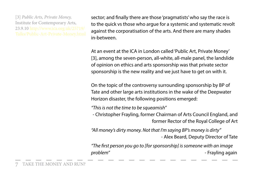[3] Public Arts, Private Money, Institute for Contemporary Arts, 23.9.10 [http://www.ica.org.uk/25719/](http://www.ica.org.uk/25719/Talks/Public-Art-Private-Money.html) sector; and finally there are those 'pragmatists' who say the race is to the quick vs those who argue for a systemic and systematic revolt against the corporatisation of the arts. And there are many shades in-between.

At an event at the ICA in London called 'Public Art, Private Money' [3], among the seven-person, all-white, all-male panel, the landslide of opinion on ethics and arts sponsorship was that private sector sponsorship is the new reality and we just have to get on with it.

On the topic of the controversy surrounding sponsorship by BP of Tate and other large arts institutions in the wake of the Deepwater Horizon disaster, the following positions emerged:

"This is not the time to be squeamish"

- Christopher Frayling, former Chairman of Arts Council England, and former Rector of the Royal College of Art

"All money's dirty money. Not that I'm saying BP's money is dirty" - Alex Beard, Deputy Director of Tate

"The first person you go to [for sponsorship] is someone with an image problem" and the state of the state of the Frayling again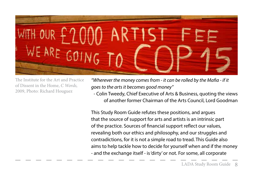

The Institute for the Art and Practice of Dissent in the Home, C Words, 2009, Photo: Richard Houguez

"Wherever the money comes from - it can be rolled by the Mafia - if it goes to the arts it becomes good money"

- Colin Tweedy, Chief Executive of Arts & Business, quoting the views of another former Chairman of the Arts Council, Lord Goodman

This Study Room Guide refutes these positions, and argues that the source of support for arts and artists is an intrinsic part of the practice. Sources of financial support reflect our values, revealing both our ethics and philosophy, and our struggles and contradictions, for it is not a simple road to tread. This Guide also aims to help tackle how to decide for yourself when and if the money - and the exchange itself - is 'dirty' or not. For some, all corporate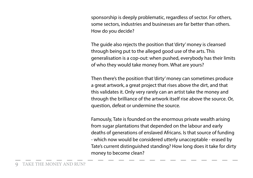sponsorship is deeply problematic, regardless of sector. For others, some sectors, industries and businesses are far better than others. How do you decide?

The guide also rejects the position that 'dirty' money is cleansed through being put to the alleged good use of the arts. This generalisation is a cop-out: when pushed, everybody has their limits of who they would take money from. What are yours?

Then there's the position that 'dirty' money can sometimes produce a great artwork, a great project that rises above the dirt, and that this validates it. Only very rarely can an artist take the money and through the brilliance of the artwork itself rise above the source. Or, question, defeat or undermine the source.

Famously, Tate is founded on the enormous private wealth arising from sugar plantations that depended on the labour and early deaths of generations of enslaved Africans. Is that source of funding - which now would be considered utterly unacceptable - erased by Tate's current distinguished standing? How long does it take for dirty money to become clean?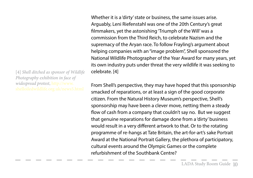[4] Shell ditched as sponsor of Wildlife Photography exhibition in face of widespread protest, [http://www.](http://www.shelloiledwildlife.org.uk/news5.html)

Whether it is a 'dirty' state or business, the same issues arise. Arguably, Leni Riefenstahl was one of the 20th Century's great filmmakers, yet the astonishing 'Triumph of the Will' was a commission from the Third Reich, to celebrate Nazism and the supremacy of the Aryan race. To follow Frayling's argument about helping companies with an "image problem", Shell sponsored the National Wildlife Photographer of the Year Award for many years, yet its own industry puts under threat the very wildlife it was seeking to celebrate. [4]

From Shell's perspective, they may have hoped that this sponsorship smacked of reparations, or at least a sign of the good corporate citizen. From the Natural History Museum's perspective, Shell's sponsorship may have been a clever move, netting them a steady flow of cash from a company that couldn't say no. But we suggest that genuine reparations for damage done from a 'dirty' business would result in a very different artwork to that. Or to the rotating programme of re-hangs at Tate Britain, the art-for-art's sake Portrait Award at the National Portrait Gallery, the plethora of participatory, cultural events around the Olympic Games or the complete refurbishment of the Southbank Centre?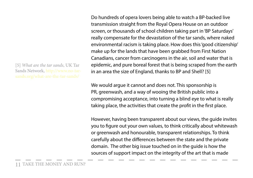[5] What are the tar sands, UK Tar Sands Network, [http://www.no-tar-](http://www.no-tar-sands.org/what-are-the-tar-sands/) Do hundreds of opera lovers being able to watch a BP-backed live transmission straight from the Royal Opera House on an outdoor screen, or thousands of school children taking part in 'BP Saturdays' really compensate for the devastation of the tar sands, where naked environmental racism is taking place. How does this 'good citizenship' make up for the lands that have been grabbed from First Nation Canadians, cancer from carcinogens in the air, soil and water that is epidemic, and pure boreal forest that is being scraped from the earth in an area the size of England, thanks to BP and Shell? [5]

We would argue it cannot and does not. This sponsorship is PR, greenwash, and a way of wooing the British public into a compromising acceptance, into turning a blind eye to what is really taking place, the activities that create the profit in the first place.

However, having been transparent about our views, the guide invites you to figure out your own values, to think critically about whitewash or greenwash and honourable, transparent relationships. To think carefully about the differences between the state and the private domain. The other big issue touched on in the guide is how the sources of support impact on the integrity of the art that is made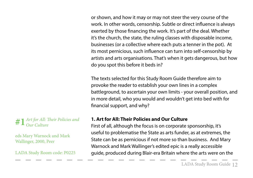or shown, and how it may or may not steer the very course of the work. In other words, censorship. Subtle or direct influence is always exerted by those financing the work. It's part of the deal. Whether it's the church, the state, the ruling classes with disposable income, businesses (or a collective where each puts a tenner in the pot). At its most pernicious, such influence can turn into self-censorship by artists and arts organisations. That's when it gets dangerous, but how do you spot this before it beds in?

The texts selected for this Study Room Guide therefore aim to provoke the reader to establish your own lines in a complex battleground, to ascertain your own limits - your overall position, and in more detail, who you would and wouldn't get into bed with for financial support, and why?

#### **1. Art for All: Their Policies and Our Culture**

First of all, although the focus is on corporate sponsorship, it's useful to problematise the State as arts funder, as at extremes, the State can be as pernicious if not more so than business. And Mary Warnock and Mark Wallinger's edited epic is a really accessible guide, produced during Blair-era Britain where the arts were on the

 $\#1$  Art for All: Their Policies and  $W_{Our~Culture}$ 

eds Mary Warnock and Mark Wallinger, 2000, Peer

LADA Study Room code: P0225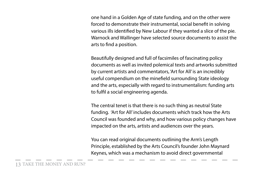one hand in a Golden Age of state funding, and on the other were forced to demonstrate their instrumental, social benefit in solving various ills identified by New Labour if they wanted a slice of the pie. Warnock and Wallinger have selected source documents to assist the arts to find a position.

Beautifully designed and full of facsimiles of fascinating policy documents as well as invited polemical texts and artworks submitted by current artists and commentators, 'Art for All' is an incredibly useful compendium on the minefield surrounding State ideology and the arts, especially with regard to instrumentalism: funding arts to fulfil a social engineering agenda.

The central tenet is that there is no such thing as neutral State funding. 'Art for All' includes documents which track how the Arts Council was founded and why, and how various policy changes have impacted on the arts, artists and audiences over the years.

You can read original documents outlining the Arm's Length Principle, established by the Arts Council's founder John Maynard Keynes, which was a mechanism to avoid direct governmental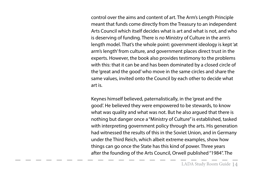control over the aims and content of art. The Arm's Length Principle meant that funds come directly from the Treasury to an independent Arts Council which itself decides what is art and what is not, and who is deserving of funding. There is no Ministry of Culture in the arm's length model. That's the whole point: government ideology is kept 'at arm's length' from culture, and government places direct trust in the experts. However, the book also provides testimony to the problems with this: that it can be and has been dominated by a closed circle of the 'great and the good' who move in the same circles and share the same values, invited onto the Council by each other to decide what art is.

Keynes himself believed, paternalistically, in the 'great and the good'. He believed they were empowered to be stewards, to know what was quality and what was not. But he also argued that there is nothing but danger once a "Ministry of Culture" is established, tasked with interpreting government policy through the arts. His generation had witnessed the results of this in the Soviet Union, and in Germany under the Third Reich, which albeit extreme examples, show how things can go once the State has this kind of power. Three years after the founding of the Arts Council, Orwell published "1984". The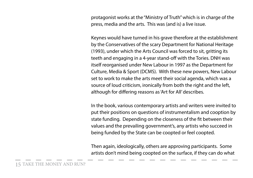protagonist works at the "Ministry of Truth" which is in charge of the press, media and the arts. This was (and is) a live issue.

Keynes would have turned in his grave therefore at the establishment by the Conservatives of the scary Department for National Heritage (1993), under which the Arts Council was forced to sit, gritting its teeth and engaging in a 4-year stand-off with the Tories. DNH was itself reorganised under New Labour in 1997 as the Department for Culture, Media & Sport (DCMS). With these new powers, New Labour set to work to make the arts meet their social agenda, which was a source of loud criticism, ironically from both the right and the left, although for differing reasons as 'Art for All' describes.

In the book, various contemporary artists and writers were invited to put their positions on questions of instrumentalism and cooption by state funding. Depending on the closeness of the fit between their values and the prevailing government's, any artists who succeed in being funded by the State can be coopted or feel coopted.

Then again, ideologically, others are approving participants. Some artists don't mind being coopted on the surface, if they can do what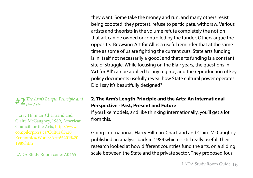The Arm's Length Principle and  $\#Z_{the \text{ Arts}}$ 

Harry Hillman-Chartrand and Claire McCaughey, 1989, American Council for the Arts, [http://www.](http://www.compilerpress.ca/Cultural%20Economics/Works/Arm%201%201989.htm%20) [compilerpress.ca/Cultural%](http://www.compilerpress.ca/Cultural%20Economics/Works/Arm%201%201989.htm%20)20 Economics/Works/Arm%201%20 1989.htm

LADA Study Room code: A0465

they want. Some take the money and run, and many others resist being coopted: they protest, refuse to participate, withdraw. Various artists and theorists in the volume refute completely the notion that art can be owned or controlled by the funder. Others argue the opposite. Browsing 'Art for All' is a useful reminder that at the same time as some of us are fighting the current cuts, State arts funding is in itself not necessarily a 'good', and that arts funding is a constant site of struggle. While focusing on the Blair years, the questions in 'Art for All' can be applied to any regime, and the reproduction of key policy documents usefully reveal how State cultural power operates. Did I say it's beautifully designed?

#### **2. The Arm's Length Principle and the Arts: An International Perspective - Past, Present and Future**

If you like models, and like thinking internationally, you'll get a lot from this.

Going international, Harry Hillman-Chartrand and Claire McCaughey published an analysis back in 1989 which is still really useful. Their research looked at how different countries fund the arts, on a sliding scale between the State and the private sector. They proposed four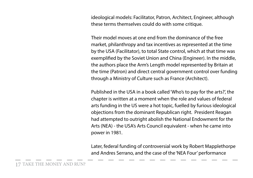ideological models: Facilitator, Patron, Architect, Engineer, although these terms themselves could do with some critique.

Their model moves at one end from the dominance of the free market, philanthropy and tax incentives as represented at the time by the USA (Facilitator), to total State control, which at that time was exemplified by the Soviet Union and China (Engineer). In the middle, the authors place the Arm's Length model represented by Britain at the time (Patron) and direct central government control over funding through a Ministry of Culture such as France (Architect).

Published in the USA in a book called 'Who's to pay for the arts?', the chapter is written at a moment when the role and values of federal arts funding in the US were a hot topic, fuelled by furious ideological objections from the dominant Republican right. President Reagan had attempted to outright abolish the National Endowment for the Arts (NEA) - the USA's Arts Council equivalent - when he came into power in 1981.

Later, federal funding of controversial work by Robert Mapplethorpe and Andres Serrano, and the case of the 'NEA Four' performance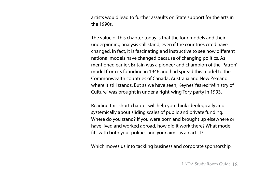artists would lead to further assaults on State support for the arts in the 1990s.

The value of this chapter today is that the four models and their underpinning analysis still stand, even if the countries cited have changed. In fact, it is fascinating and instructive to see how different national models have changed because of changing politics. As mentioned earlier, Britain was a pioneer and champion of the 'Patron' model from its founding in 1946 and had spread this model to the Commonwealth countries of Canada, Australia and New Zealand where it still stands. But as we have seen, Keynes' feared "Ministry of Culture" was brought in under a right-wing Tory party in 1993.

Reading this short chapter will help you think ideologically and systemically about sliding scales of public and private funding. Where do you stand? If you were born and brought up elsewhere or have lived and worked abroad, how did it work there? What model fits with both your politics and your aims as an artist?

Which moves us into tackling business and corporate sponsorship.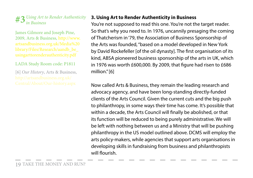

James Gilmore and Joseph Pine, 2009, Arts & Business, [http://www.](http://www.artsandbusiness.org.uk/Media%20library/Files/Research/aandb_be_usingarttorenderauthenticity.pdf%20) [artsandbusiness.org.uk/Media](http://www.artsandbusiness.org.uk/Media%20library/Files/Research/aandb_be_usingarttorenderauthenticity.pdf%20)%20 library/Files/Research[/aandb\\_be\\_](http://www.aandb_be_usingarttorenderauthenticity.pdf) [usingarttorenderauthenticity.pdf](http://www.aandb_be_usingarttorenderauthenticity.pdf)

#### LADA Study Room code: P1811

[6] Our History, Arts & Business,

#### **3. Using Art to Render Authenticity in Business**

You're not supposed to read this one. You're not the target reader. So that's why you need to. In 1976, uncannily presaging the coming of Thatcherism in '79, the Association of Business Sponsorship of the Arts was founded, "based on a model developed in New York by David Rockefeller [of the oil dynasty]. The first organisation of its kind, ABSA pioneered business sponsorship of the arts in UK, which in 1976 was worth £600,000. By 2009, that figure had risen to £686 million." [6]

Now called Arts & Business, they remain the leading research and advocacy agency, and have been long-standing directly-funded clients of the Arts Council. Given the current cuts and the big push to philanthropy, in some ways their time has come. It's possible that within a decade, the Arts Council will finally be abolished, or that its function will be reduced to being purely administrative. We will be left with nothing between us and a Ministry that will be pushing philanthropy in the US model outlined above. DCMS will employ the arts policy-makers, while agencies that support arts organisations in developing skills in fundraising from business and philanthropists will flourish.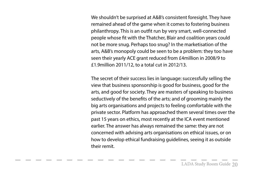We shouldn't be surprised at A&B's consistent foresight. They have remained ahead of the game when it comes to fostering business philanthropy. This is an outfit run by very smart, well-connected people whose fit with the Thatcher, Blair and coalition years could not be more snug. Perhaps too snug? In the marketisation of the arts, A&B's monopoly could be seen to be a problem: they too have seen their yearly ACE grant reduced from £4million in 2008/9 to £1.9million 2011/12, to a total cut in 2012/13.

The secret of their success lies in language: successfully selling the view that business sponsorship is good for business, good for the arts, and good for society. They are masters of speaking to business seductively of the benefits of the arts; and of grooming mainly the big arts organisations and projects to feeling comfortable with the private sector. Platform has approached them several times over the past 15 years on ethics, most recently at the ICA event mentioned earlier. The answer has always remained the same: they are not concerned with advising arts organisations on ethical issues, or on how to develop ethical fundraising guidelines, seeing it as outside their remit.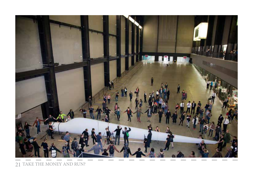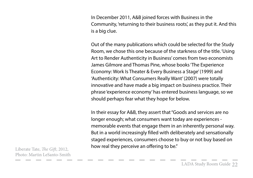In December 2011, A&B joined forces with Business in the Community, 'returning to their business roots', as they put it. And this is a big clue.

Out of the many publications which could be selected for the Study Room, we chose this one because of the starkness of the title. 'Using Art to Render Authenticity in Business' comes from two economists James Gilmore and Thomas Pine, whose books 'The Experience Economy: Work Is Theater & Every Business a Stage' (1999) and 'Authenticity: What Consumers Really Want' (2007) were totally innovative and have made a big impact on business practice. Their phrase 'experience economy' has entered business language, so we should perhaps fear what they hope for below.

In their essay for A&B, they assert that "Goods and services are no longer enough; what consumers want today are experiences memorable events that engage them in an inherently personal way. But in a world increasingly filled with deliberately and sensationally staged experiences, consumers choose to buy or not buy based on Liberate Tate, The Gift, 2012, **how real they perceive an offering to be."** 

Photo: Martin LeSanto-Smith

LADA Study Room Guide 22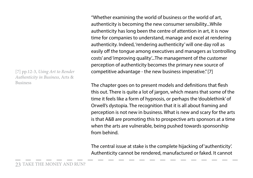[7] pp.12-3, Using Art to Render Authenticity in Business, Arts & Business

"Whether examining the world of business or the world of art, authenticity is becoming the new consumer sensibility...While authenticity has long been the centre of attention in art, it is now time for companies to understand, manage and excel at rendering authenticity. Indeed, 'rendering authenticity' will one day roll as easily off the tongue among executives and managers as 'controlling costs' and 'improving quality'...The management of the customer perception of authenticity becomes the primary new source of competitive advantage - the new business imperative." [7]

The chapter goes on to present models and definitions that flesh this out. There is quite a lot of jargon, which means that some of the time it feels like a form of hypnosis, or perhaps the 'doublethink' of Orwell's dystopia. The recognition that it is all about framing and perception is not new in business. What is new and scary for the arts is that A&B are promoting this to prospective arts sponsors at a time when the arts are vulnerable, being pushed towards sponsorship from behind.

The central issue at stake is the complete hijacking of 'authenticity'. Authenticity cannot be rendered, manufactured or faked. It cannot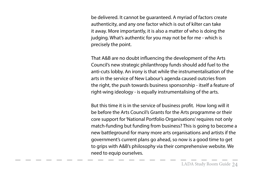be delivered. It cannot be guaranteed. A myriad of factors create authenticity, and any one factor which is out of kilter can take it away. More importantly, it is also a matter of who is doing the judging. What's authentic for you may not be for me - which is precisely the point.

That A&B are no doubt influencing the development of the Arts Council's new strategic philanthropy funds should add fuel to the anti-cuts lobby. An irony is that while the instrumentalisation of the arts in the service of New Labour's agenda caused outcries from the right, the push towards business sponsorship - itself a feature of right-wing ideology - is equally instrumentalising of the arts.

But this time it is in the service of business profit. How long will it be before the Arts Council's Grants for the Arts programme or their core support for 'National Portfolio Organisations' requires not only match-funding but funding from business? This is going to become a new battleground for many more arts organisations and artists if the government's current plans go ahead, so now is a good time to get to grips with A&B's philosophy via their comprehensive website. We need to equip ourselves.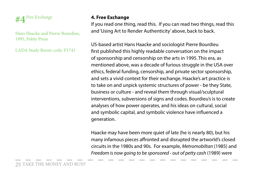

Hans Haacke and Pierre Bourdieu, 1995, Polity Press

LADA Study Room code: P1741

#### **4. Free Exchange**

If you read one thing, read this. If you can read two things, read this and 'Using Art to Render Authenticity' above, back to back.

US-based artist Hans Haacke and sociologist Pierre Bourdieu first published this highly readable conversation on the impact of sponsorship and censorship on the arts in 1995. This era, as mentioned above, was a decade of furious struggle in the USA over ethics, federal funding, censorship, and private sector sponsorship, and sets a vivid context for their exchange. Haacke's art practice is to take on and unpick systemic structures of power - be they State, business or culture - and reveal them through visual/sculptural interventions, subversions of signs and codes. Bourdieu's is to create analyses of how power operates, and his ideas on cultural, social and symbolic capital, and symbolic violence have influenced a generation.

Haacke may have been more quiet of late (he is nearly 80), but his many infamous pieces affronted and disrupted the artworld's closed circuits in the 1980s and 90s. For example, Metromobiltan (1985) and Freedom is now going to be sponsored - out of petty cash (1989) were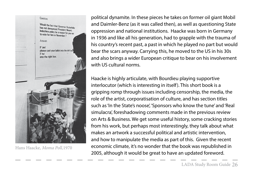

Hans Haacke, Moma Poll,1970

political dynamite. In these pieces he takes on former oil giant Mobil and Daimler-Benz (as it was called then), as well as questioning State oppression and national institutions. Haacke was born in Germany in 1936 and like all his generation, had to grapple with the trauma of his country's recent past, a past in which he played no part but would bear the scars anyway. Carrying this, he moved to the US in his 30s and also brings a wider European critique to bear on his involvement with US cultural norms.

Haacke is highly articulate, with Bourdieu playing supportive interlocutor (which is interesting in itself). This short book is a gripping romp through issues including censorship, the media, the role of the artist, corporatisation of culture, and has section titles such as 'In the State's noose', 'Sponsors who know the tune' and 'Real simulacra', foreshadowing comments made in the previous review on Arts & Business. We get some useful history, some cracking stories from his work, but perhaps most interestingly, they talk about what makes an artwork a successful political and artistic intervention, and how to manipulate the media as part of this. Given the recent economic climate, it's no wonder that the book was republished in 2005, although it would be great to have an updated foreword.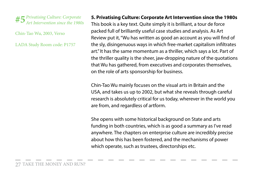

Chin-Tao Wu, 2003, Verso

LADA Study Room code: P1757

**5. Privatising Culture: Corporate Art Intervention since the 1980s** This book is a key text. Quite simply it is brilliant, a tour de force packed full of brilliantly useful case studies and analysis. As Art Review put it, "Wu has written as good an account as you will find of the sly, disingenuous ways in which free-market capitalism infiltrates art." It has the same momentum as a thriller, which says a lot. Part of the thriller quality is the sheer, jaw-dropping nature of the quotations that Wu has gathered, from executives and corporates themselves, on the role of arts sponsorship for business.

Chin-Tao Wu mainly focuses on the visual arts in Britain and the USA, and takes us up to 2002, but what she reveals through careful research is absolutely critical for us today, wherever in the world you are from, and regardless of artform.

She opens with some historical background on State and arts funding in both countries, which is as good a summary as I've read anywhere. The chapters on enterprise culture are incredibly precise about how this has been fostered, and the mechanisms of power which operate, such as trustees, directorships etc.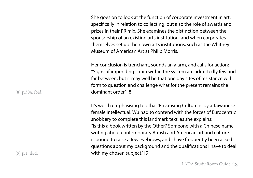She goes on to look at the function of corporate investment in art, specifically in relation to collecting, but also the role of awards and prizes in their PR mix. She examines the distinction between the sponsorship of an existing arts institution, and when corporates themselves set up their own arts institutions, such as the Whitney Museum of American Art at Philip Morris.

Her conclusion is trenchant, sounds an alarm, and calls for action: "Signs of impending strain within the system are admittedly few and far between, but it may well be that one day sites of resistance will form to question and challenge what for the present remains the dominant order." [8]

It's worth emphasising too that 'Privatising Culture' is by a Taiwanese female intellectual. Wu had to contend with the forces of Eurocentric snobbery to complete this landmark text, as she explains: "Is this a book written by the Other? Someone with a Chinese name writing about contemporary British and American art and culture is bound to raise a few eyebrows, and I have frequently been asked questions about my background and the qualifications I have to deal with my chosen subject." [9]

[8] p.304, ibid.

[9] p.1, ibid.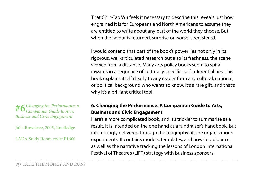That Chin-Tao Wu feels it necessary to describe this reveals just how engrained it is for Europeans and North Americans to assume they are entitled to write about any part of the world they choose. But when the favour is returned, surprise or worse is registered.

I would contend that part of the book's power lies not only in its rigorous, well-articulated research but also its freshness, the scene viewed from a distance. Many arts policy books seem to spiral inwards in a sequence of culturally-specific, self-referentialities. This book explains itself clearly to any reader from any cultural, national, or political background who wants to know. It's a rare gift, and that's why it's a brilliant critical tool.

### **6. Changing the Performance: A Companion Guide to Arts, Business and Civic Engagement**

Here's a more complicated book, and it's trickier to summarise as a result. It is intended on the one hand as a fundraiser's handbook, but interestingly delivered through the biography of one organisation's experiments. It contains models, templates, and how-to guidance, as well as the narrative tracking the lessons of London International Festival of Theatre's (LIFT) strategy with business sponsors.

Business and Civic Engagement **#6**Changing the Performance: a Companion Guide to Arts,

Julia Rowntree, 2005, Routledge

LADA Study Room code: P1600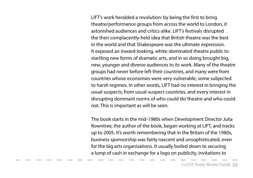LIFT's work heralded a revolution: by being the first to bring theatre/performance groups from across the world to London, it astonished audiences and critics alike. LIFT's festivals disrupted the then complacently-held idea that British theatre was the best in the world and that Shakespeare was the ultimate expression. It exposed an inward-looking, white-dominated theatre public to startling new forms of dramatic arts, and in so doing brought big, new, younger and diverse audiences to its work. Many of the theatre groups had never before left their countries, and many were from countries whose economies were very vulnerable, some subjected to harsh regimes. In other words, LIFT had no interest in bringing the usual suspects, from usual-suspect countries, and every interest in disrupting dominant norms of who could 'do' theatre and who could not. This is important as will be seen.

The book starts in the mid-1980s when Development Director Julia Rowntree, the author of the book, began working at LIFT, and tracks up to 2005. It's worth remembering that in the Britain of the 1980s, business sponsorship was fairly nascent and unsophisticated, even for the big arts organisations. It usually boiled down to securing a lump of cash in exchange for a logo on publicity, invitations to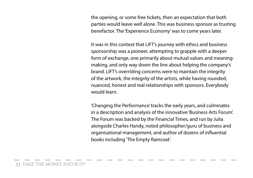the opening, or some free tickets, then an expectation that both parties would leave well alone. This was business sponsor as trusting benefactor. The 'Experience Economy' was to come years later.

It was in this context that LIFT's journey with ethics and business sponsorship was a pioneer, attempting to grapple with a deeper form of exchange, one primarily about mutual values and meaningmaking, and only way down the line about helping the company's brand. LIFT's overriding concerns were to maintain the integrity of the artwork, the integrity of the artists, while having rounded, nuanced, honest and real relationships with sponsors. Everybody would learn.

'Changing the Performance' tracks the early years, and culminates in a description and analysis of the innovative 'Business Arts Forum'. The Forum was backed by the Financial Times, and run by Julia alongside Charles Handy, noted philosopher/guru of business and organisational management, and author of dozens of influential books including 'The Empty Raincoat'.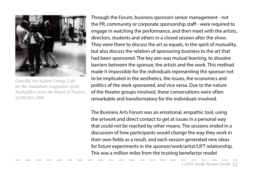

Guerilla Art Action Group, Call for the immediate resignation of all Rockefellers from the Board of Trustees of MOMA,1969

Through the Forum, business sponsors' senior management - not the PR, community or corporate sponsorship staff - were required to engage in watching the performance, and then meet with the artists, directors, students and others in a closed session after the show. They were there to discuss the art as equals, in the spirit of mutuality, but also discuss the relation of sponsoring business to the art that had been sponsored. The key aim was mutual learning, to dissolve barriers between the sponsor, the artists and the work. This method made it impossible for the individuals representing the sponsor not to be implicated in the aesthetics, the issues, the economics and politics of the work sponsored, and vice versa. Due to the nature of the theatre groups involved, these conversations were often remarkable and transformatory for the individuals involved.

The Business Arts Forum was an emotional, empathic tool, using the artwork and direct contact to get at issues in a personal way that could not be reached by other means. The sessions ended in a discussion of how participants would change the way they work in their own fields as a result, and each session generated new ideas for future experiments in the sponsor/work/artist/LIFT relationship. This was a million miles from the trusting benefactor model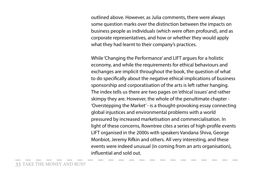outlined above. However, as Julia comments, there were always some question marks over the distinction between the impacts on business people as individuals (which were often profound), and as corporate representatives, and how or whether they would apply what they had learnt to their company's practices.

While 'Changing the Performance' and LIFT argues for a holistic economy, and while the requirements for ethical behaviours and exchanges are implicit throughout the book, the question of what to do specifically about the negative ethical implications of business sponsorship and corporatisation of the arts is left rather hanging. The index tells us there are two pages on 'ethical issues' and rather skimpy they are. However, the whole of the penultimate chapter - 'Overstepping the Market' - is a thought-provoking essay connecting global injustices and environmental problems with a world pressured by increased marketisation and commercialisation. In light of these concerns, Rowntree cites a series of high-profile events LIFT organised in the 2000s with speakers Vandana Shiva, George Monbiot, Jeremy Rifkin and others. All very interesting, and these events were indeed unusual (in coming from an arts organisation), influential and sold out.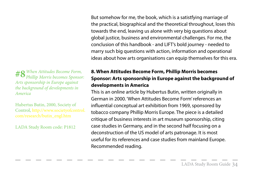Arts sponsorship in Europe against the background of developments in America **#8** When Attitudes Become Form, Phillip Morris becomes Sponsor:

Hubertus Butin, 2000, Society of Control, [http://www.societyofcontrol.](http://www.societyofcontrol.com/research/butin_engl.htm) [com/research/butin\\_engl.htm](http://www.societyofcontrol.com/research/butin_engl.htm)

LADA Study Room code: P1812

But somehow for me, the book, which is a satistfying marriage of the practical, biographical and the theoretical throughout, loses this towards the end, leaving us alone with very big questions about global justice, business and environmental challenges. For me, the conclusion of this handbook - and LIFT's bold journey - needed to marry such big questions with action, information and operational ideas about how arts organisations can equip themselves for this era.

# **8. When Attitudes Become Form, Phillip Morris becomes Sponsor: Arts sponsorship in Europe against the background of developments in America**

This is an online article by Hubertus Butin, written originally in German in 2000. 'When Attitudes Become Form' references an influential conceptual art exhibition from 1969, sponsored by tobacco company Phillip Morris Europe. The piece is a detailed critique of business interests in art museum sponsorship, citing case studies in Germany, and in the second half focusing on a deconstruction of the US model of arts patronage. It is most useful for its references and case studies from mainland Europe. Recommended reading.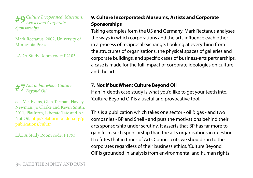Sponsorships **#9**Culture Incoporated: Museums, Artists and Corporate

Mark Rectanus, 2002, University of Minnesota Press

LADA Study Room code: P2103

**#7** Not in but when: Culture<br>**#7** Beyond Oil

eds Mel Evans, Glen Tarman, Hayley Newman, Jo Clarke and Kevin Smith, 2011, Platform, Liberate Tate and Art Not Oil, [http://platformlondon.org/p](http://www.platformlondon.org/p-publications/culutr)[publications/culutr](http://www.platformlondon.org/p-publications/culutr)

LADA Study Room code: P1793

# **9. Culture Incorporated: Museums, Artists and Corporate Sponsorships**

Taking examples form the US and Germany, Mark Rectanus analyses the ways in which corporations and the arts influence each other in a process of reciprocal exchange. Looking at everything from the structures of organisations, the physical spaces of galleries and corporate buildings, and specific cases of business-arts partnerships, a case is made for the full impact of corporate ideologies on culture and the arts.

#### **7. Not if but When: Culture Beyond Oil**

If an in-depth case study is what you'd like to get your teeth into, 'Culture Beyond Oil' is a useful and provocative tool.

This is a publication which takes one sector - oil & gas - and two companies - BP and Shell - and puts the motivations behind their arts sponsorship under scrutiny. It asserts that BP has far more to gain from such sponsorship than the arts organisations in question. It refutes that in times of Arts Council cuts we should run to the corporates regardless of their business ethics. 'Culture Beyond Oil' is grounded in analysis from environmental and human rights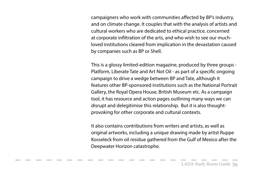campaigners who work with communities affected by BP's industry, and on climate change. It couples that with the analysis of artists and cultural workers who are dedicated to ethical practice, concerned at corporate infiltration of the arts, and who wish to see our muchloved institutions cleared from implication in the devastation caused by companies such as BP or Shell.

This is a glossy limited-edition magazine, produced by three groups - Platform, Liberate Tate and Art Not Oil - as part of a specific ongoing campaign to drive a wedge between BP and Tate, although it features other BP-sponsored institutions such as the National Portrait Gallery, the Royal Opera House, British Museum etc. As a campaign tool, it has resource and action pages outlining many ways we can disrupt and delegitimise this relationship. But it is also thoughtprovoking for other corporate and cultural contexts.

It also contains contributions from writers and artists, as well as original artworks, including a unique drawing made by artist Ruppe Kosseleck from oil residue gathered from the Gulf of Mexico after the Deepwater Horizon catastrophe.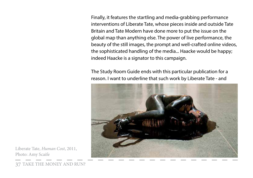Finally, it features the startling and media-grabbing performance interventions of Liberate Tate, whose pieces inside and outside Tate Britain and Tate Modern have done more to put the issue on the global map than anything else. The power of live performance, the beauty of the still images, the prompt and well-crafted online videos, the sophisticated handling of the media... Haacke would be happy; indeed Haacke is a signator to this campaign.

The Study Room Guide ends with this particular publication for a reason. I want to underline that such work by Liberate Tate - and



Liberate Tate, Human Cost, 2011, Photo: Amy Scaife

37 TAKE THE MONEY AND RUN?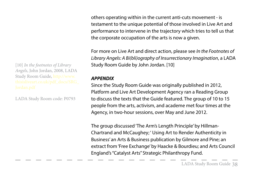[10] In the footnotes of Library Angels, John Jordan, 2008, LADA Study Room Guide, [http://www.](http://www.thisisliveart.co.uk/pdf_docs/SRG_Jordan.pdf)

LADA Study Room code: P0793

others operating within in the current anti-cuts movement - is testament to the unique potential of those involved in Live Art and performance to intervene in the trajectory which tries to tell us that the corporate occupation of the arts is now a given.

For more on Live Art and direct action, please see In the Footnotes of Library Angels: A Bi(bli)ography of Insurrectionary Imagination, a LADA Study Room Guide by John Jordan. [10]

#### **APPENDIX**

Since the Study Room Guide was originally published in 2012, Platform and Live Art Development Agency ran a Reading Group to discuss the texts that the Guide featured. The group of 10 to 15 people from the arts, activism, and academe met four times at the Agency, in two-hour sessions, over May and June 2012.

The group discussed 'The Arm's Length Principle' by Hillman-Chartrand and McCaughey; ' Using Art to Render Authenticity in Business' an Arts & Business publication by Gilmore and Pine; an extract from 'Free Exchange' by Haacke & Bourdieu; and Arts Council England's "Catalyst Arts" Strategic Philanthropy Fund.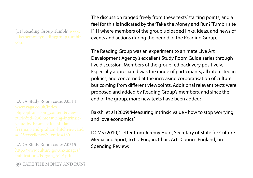[11] Reading Group Tumblr, [www.](http://www.takethemoneyreadinggroup.tumblr.com)

LADA Study Room code: A0514

39 TAKE THE MONEY AND RUN? LADA Study Room code: A0515

The discussion ranged freely from these texts' starting points, and a feel for this is indicated by the 'Take the Money and Run?' Tumblr site [11] where members of the group uploaded links, ideas, and news of events and actions during the period of the Reading Group.

The Reading Group was an experiment to animate Live Art Development Agency's excellent Study Room Guide series through live discussion. Members of the group fed back very positively. Especially appreciated was the range of participants, all interested in politics, and concerned at the increasing corporatisation of culture but coming from different viewpoints. Additional relevant texts were proposed and added by Reading Group's members, and since the end of the group, more new texts have been added:

Bakshi et al (2009) 'Measuring intrinsic value - how to stop worrying and love economics.'

DCMS (2010) 'Letter from Jeremy Hunt, Secretary of State for Culture Media and Sport, to Liz Forgan, Chair, Arts Council England, on Spending Review.'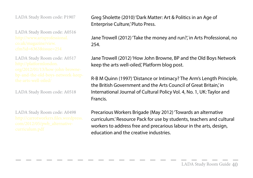LADA Study Room code: P1907

LADA Study Room code: A0516

LADA Study Room code: A0517

LADA Study Room code: A0518

LADA Study Room code: A0498

Greg Sholette (2010) 'Dark Matter: Art & Politics in an Age of Enterprise Culture,' Pluto Press.

Jane Trowell (2012) 'Take the money and run?,' in Arts Professional, no 254.

Jane Trowell (2012) 'How John Browne, BP and the Old Boys Network keep the arts well-oiled,' Platform blog post.

R-B M Quinn (1997) 'Distance or Intimacy? The Arm's Length Principle, the British Government and the Arts Council of Great Britain,' in International Journal of Cultural Policy Vol. 4, No. 1, UK: Taylor and Francis.

Precarious Workers Brigade (May 2012) 'Towards an alternative curriculum.' Resource Pack for use by students, teachers and cultural workers to address free and precarious labour in the arts, design, education and the creative industries.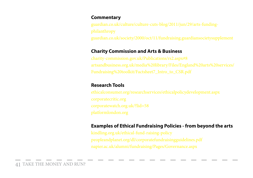#### **Commentary**

[guardian.co.uk/culture/culture-cuts-blog/2011/jun/29/arts](http://www.guardian.co.uk/culture/culture-cuts-blog/2011/jun/29/arts-funding-philanthropy)-fundingphilanthropy [guardian.co.uk/society/2000/oct/11/fundraising.guardiansocietysupplement](http://www.guardian.co.uk/society/2000/oct/11/fundraising.guardiansocietysupplement)

### **Charity Commission and Arts & Business**

[charity-commission.gov.uk/Publications/rs2.aspx#](http://www.charity-commission.gov.uk/Publications/rs2.aspx#8)8 [artsandbusiness.org.uk/media](http://www.artsandbusiness.org.uk/media%20library/Files/England%20arts%20services/Fundraising%20toolkit/Factsheet7_Intro_to_CSR.pdf)%20library/Files/England%20arts%20services/ Fundraising%20toolkit/Factsheet7\_Intro\_to\_CSR.pdf

# **Research Tools**

[ethicalconsumer.org/researchservices/ethicalpolicydevelopment.aspx](http://www.ethicalconsumer.org/researchservices/ethicalpolicydevelopment.aspx) [corporatecritic.org](http://www.corporatecritic.org) [corporatewatch.org.uk/](http://www.corporatewatch.org.uk)?lid=58 [platformlondon.org](http://www.platformlondon.org)

#### **Examples of Ethical Fundraising Policies - from beyond the arts**

kindling.org.uk/ethical-fund-raising-policy [peopleandplanet.org/dl/corporatefundraisingguidelines.pdf](http://www.peopleandplanet.org/dl/corporatefundraisingguidelines.pdf) [napier.ac.uk/alumni/fundraising/Pages/Governance.aspx](http://www.napier.ac.uk/alumni/fundraising/Pages/Governance.aspx)